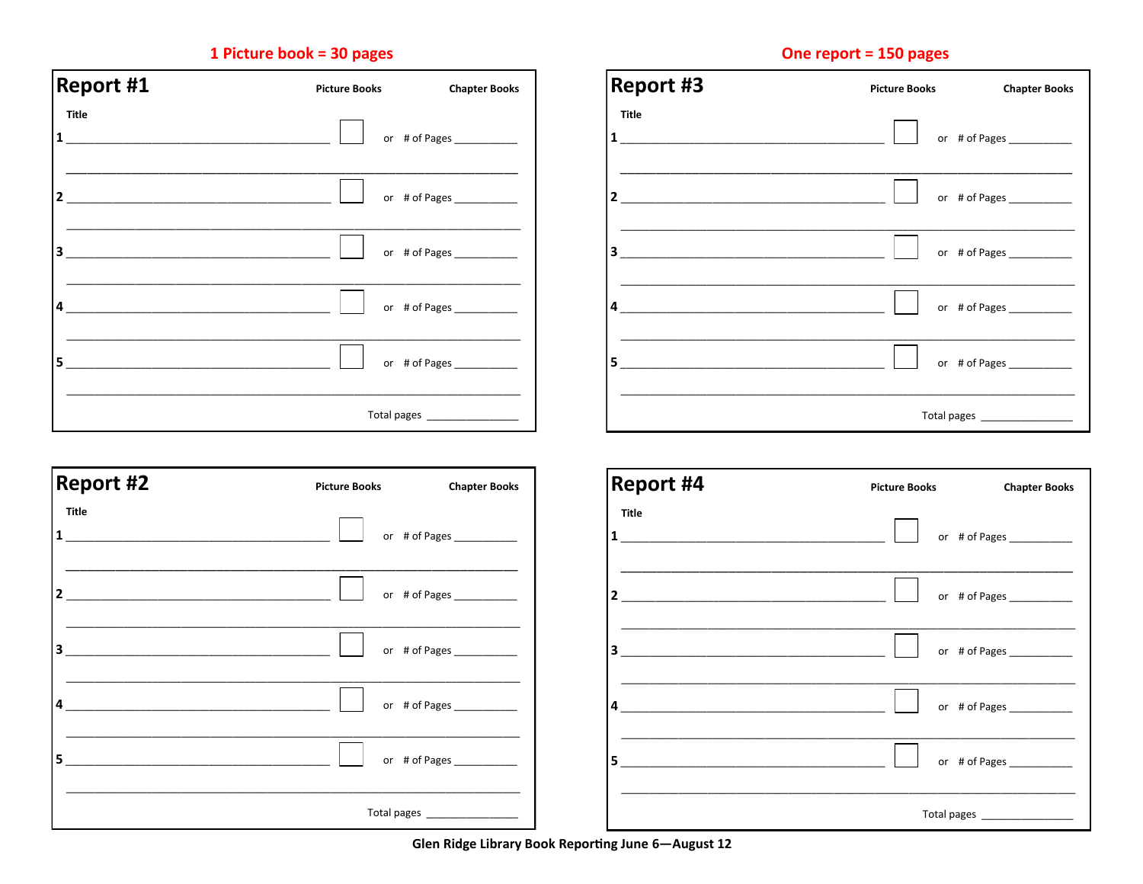# 1 Picture book = 30 pages

| <b>Report #1</b>                                                                              | <b>Picture Books</b>     | <b>Chapter Books</b> |  |
|-----------------------------------------------------------------------------------------------|--------------------------|----------------------|--|
| <b>Title</b><br>$\mathbf{1}$                                                                  |                          | or # of Pages        |  |
| $2\overline{)}$<br>the control of the control of the control of the control of the control of |                          |                      |  |
| $\mathbf{3}$<br>the control of the control of the control of the control of the control of    |                          |                      |  |
| $\overline{4}$                                                                                |                          |                      |  |
| 5                                                                                             |                          | or # of Pages        |  |
|                                                                                               | Total pages ____________ |                      |  |

| <b>Report #3</b>                                                                                                                                                                                                                                              | <b>Picture Books</b>         | <b>Chapter Books</b>      |  |
|---------------------------------------------------------------------------------------------------------------------------------------------------------------------------------------------------------------------------------------------------------------|------------------------------|---------------------------|--|
| <b>Title</b><br>$\mathbf{1}$<br>the control of the control of the control of the control of the control of the control of the control of the control of the control of the control of the control of the control of the control of the control of the control |                              | or # of Pages ___________ |  |
| $2\overline{)}$                                                                                                                                                                                                                                               |                              | or # of Pages             |  |
| $\mathbf{3}$<br>the control of the control of the control of the control of the control of the control of                                                                                                                                                     |                              | or # of Pages ___________ |  |
| 4<br>the control of the control of the control of the control of the control of the control of                                                                                                                                                                |                              | or # of Pages             |  |
| 5                                                                                                                                                                                                                                                             |                              | or # of Pages ___________ |  |
|                                                                                                                                                                                                                                                               | Total pages ________________ |                           |  |

| <b>Report #2</b>        | <b>Chapter Books</b><br><b>Picture Books</b> | <b>Report #4</b> | <b>Picture Books</b><br><b>Chapter Books</b> |
|-------------------------|----------------------------------------------|------------------|----------------------------------------------|
| Title<br>$\mathbf{1}$   | or # of Pages ___________                    | Title            | or # of Pages _____________                  |
| $\mathbf{2}$            | or # of Pages                                |                  | or # of Pages ____________                   |
| $\overline{\mathbf{3}}$ | or # of Pages                                | 3                | or # of Pages _____________                  |
| 4                       |                                              |                  | or # of Pages ____________                   |
| 5                       |                                              | 5                | or # of Pages                                |
|                         | Total pages ___________________              |                  | Total pages __________________               |

#### Glen Ridge Library Book Reporting June 6-August 12

# One report = 150 pages